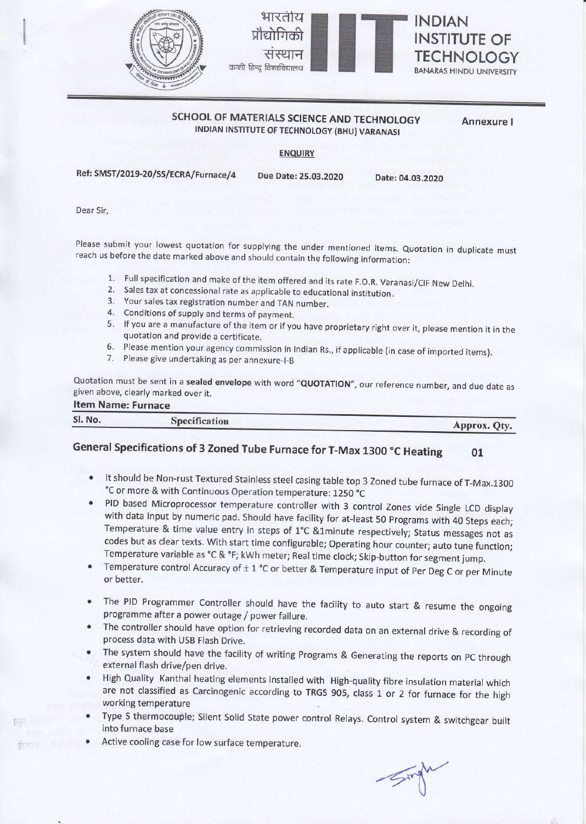



### SCHOOL OF MATERIALS SCIENCE AND TECHNOLOGY INDIAN INSTITUTE OF TECHNOLOGY (BHU) VARANASI

Annexure <sup>I</sup>

ENQUIRY

Ref: SMST/2019-20/SS/ECRA/Furnace/4 Due Date: 25.03.2020

Date:04.03.2020

Dear Sir,

Please submit your lowest quotation for supplying the under mentioned items. Quotation in duplicate must reach us before the date marked above and should contain the following information:

- 1. Full specification and make of the item offered and its rate F.O.R. Varanasi/CIF New Delhi.<br>2. Sales tax at concessional rate as applicable to educational institution.<br>3. Your sales tax registration number and TAN numbe
- 
- 
- 
- 5' lf you are a manufacture of the item or if you have proprietary right over it, please mention it in the quotation and provide a certificate.
- 6. Please mention your agency commission in Indian Rs., if applicable (in case of imported items).<br>7. Please give undertaking as per annexure-l-B
- 

Quotation must be sent in a **sealed envelope** with word "**QUOTATION**", our reference number, and due date as<br>given above, clearly marked over it. Item Name: Furnace

| <b>TETTI NATTLE: FUTTIACE</b> |               |              |
|-------------------------------|---------------|--------------|
| Sl. No.                       | Specification | Approx. Oty. |
|                               |               |              |

### General Specifications of 3 Zoned Tube Furnace for T-Max 1300 °C Heating 01

- It should be Non-rust Textured Stainless steel casing table top 3 Zoned tube furnace of T-Max.1300 °C or more & with Continuous Operation temperature: 1250 °C
- PID based Microprocessor temperature controller with 3 control Zones vide single LCD display with data input by numeric pad. Should have facility for at-least 50 programs with 40 Steps each; Temperature & time value entry in steps of 1°C &1minute respectively; Status messages not as codes but as clear texts. With start time configurable; Operating hour counter; auto tune function; Temperature variable as °C & °F; kWh meter; Real time clock; Skip-button for segment jump.
- Temperature control Accuracy of  $\pm$  1 °C or better & Temperature input of Per Deg C or per Minute or better.
- The PID Programmer controller should have the facility to auto start & resume the ongoing programme after a power outage / power failure.
- The controller should have option for retrieving recorded data on an external drive & recording of process data with USB Flash Drive.
- The system should have the facility of writing Programs & Generating the reports on pC through external flash drive/pen drive.
- High Quality Kanthal heating elements installed with High-quality fibre insulation material which are not classified as Carcinogenic according to TRGS 905, class 1 or 2 for furnace for the high working temperature
- Type S thermocouple; Silent Solid State power control Relays. Control system & switchgear built into furnace base
- Active cooling case for low surface temperature.

fit)

 $\mathcal{A}^{\mu}$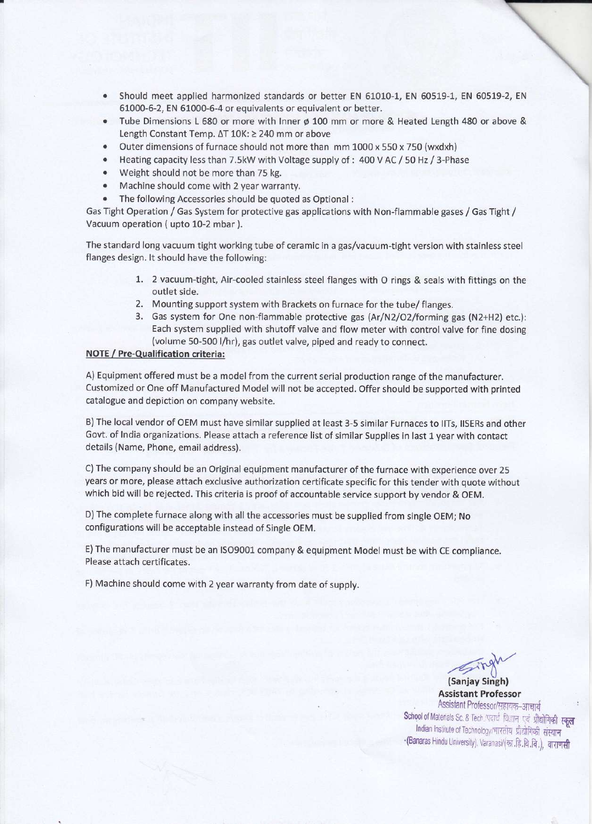- Should meet applied harmonized standards or better EN 61010-1, EN 60519-1, EN 60519-2, EN 61000-6-2, EN 61000-5-4 or equivalents or equivalent or better.
- Tube Dimensions L 680 or more with Inner ø 100 mm or more & Heated Length 480 or above & Length Constant Temp. ∆T 10K: ≥ 240 mm or above
- Outer dimensions of furnace should not more than mm 1000 x 550 x 750 (wxdxh)
- Heating capacity less than 7.5kW with Voltage supply of : 400 V AC / 50 Hz / 3-Phase
- Weight should not be more than 75 kg.
- o Machine should come with 2year warranty.
- The following Accessories should be quoted as Optional :

Gas Tight Operation / Gas System for protective gas applications with Non-flammable gases / Gas Tight / Vacuum operation ( upto 10-2 mbar ).

The standard long vacuum tight working tube of ceramic in a gas/vacuum-tight version with stainless steel flanges design. lt should have the following:

- 1. 2 vacuum-tight, Air-cooled stainless steel flanges with O rings & seals with fittings on the outlet side.
- 2. Mounting support system with Brackets on furnace for the tube/ flanges.
- 3. Gas system for One non-flammable protective gas (Ar/N2/O2/forming gas (N2+H2) etc.): Each system supplied with shutoff valve and flow meter with control valve for fine dosing (volume 50-500 l/hr), gas outlet valve, piped and ready to connect.

#### NOTE / Pre-Qualification criteria:

A) Equipment offered must be a model from the current serial production range of the manufacturer. Customized or One off Manufactured Model will not be accepted. Offer should be supported with printed catalogue and depiction on company website.

B) The local vendor of OEM must have similar supplied at least 3-5 similar Furnaces to llTs, llSERs and other Govt. of lndia organizations. Please attach a reference list of similar Supplies in last 1 year with contact details (Name, Phone, email address).

C) The company should be an Original equipment manufacturer of the furnace with experience over 25 years or more, please attach exclusive authorization certificate specific for this tender with quote without which bid will be rejected. This criteria is proof of accountable service support by vendor & OEM.

D)The complete furnace along with all the accessories must be supplied from single OEM; No configurations will be acceptable instead of Single OEM.

E) The manufacturer must be an lSO9001 company & equipment Model must be with CE compliance. Please attach certificates.

F) Machine should come with 2 year warranty from date of supply.

**Example**<br>(Sanjay Singh)

Assistant Professor Assistant Professor/सहायक-आचार्य School of Materials Sc. & Tech /पदार्थ विज्ञान एवं प्रौद्योगिकी स्कूल Indian Institute of Technology/भारतीय प्रौद्योगिकी संस्थान -(Banaras Hindu University). Varanasi/(का.हि.वि.वि.), वाराणसी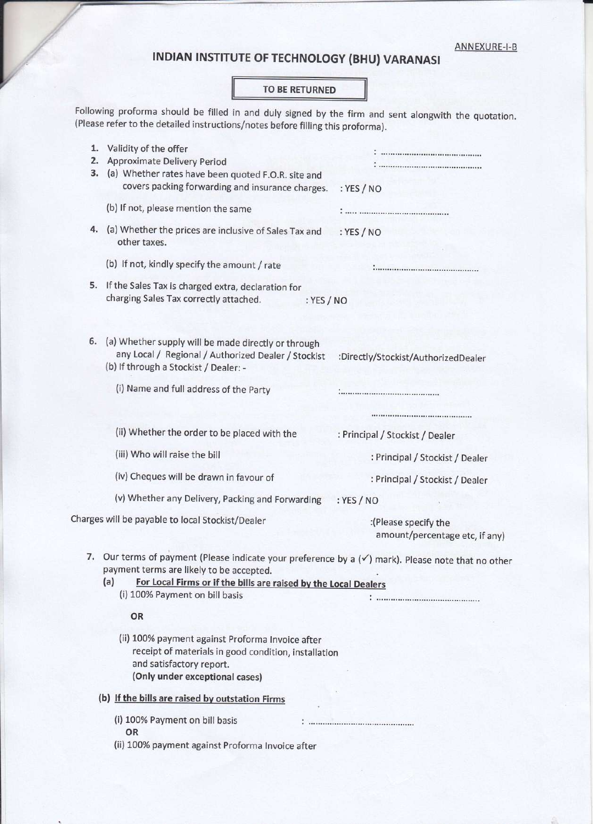# INDIAN INSTITUTE OF TECHNOLOGY (BHU) VARANASI

### TO BE RETURNED

Following proforma should be filled in and duly signed by the firm and sent alongwith the quotation. (Please refer to the detailed instructions/notes before filling this proforma).

| 1.<br>2.<br>з. | Validity of the offer<br>Approximate Delivery Period<br>(a) Whether rates have been quoted F.O.R. site and<br>covers packing forwarding and insurance charges.                                                                                                        | : YES / NO                                             |
|----------------|-----------------------------------------------------------------------------------------------------------------------------------------------------------------------------------------------------------------------------------------------------------------------|--------------------------------------------------------|
|                | (b) If not, please mention the same                                                                                                                                                                                                                                   |                                                        |
|                | 4. (a) Whether the prices are inclusive of Sales Tax and<br>other taxes.                                                                                                                                                                                              | : $YES / NO$                                           |
|                | (b) If not, kindly specify the amount / rate                                                                                                                                                                                                                          |                                                        |
|                | 5. If the Sales Tax is charged extra, declaration for<br>charging Sales Tax correctly attached.<br>: $YES / NO$                                                                                                                                                       |                                                        |
|                | 6. (a) Whether supply will be made directly or through<br>any Local / Regional / Authorized Dealer / Stockist<br>(b) If through a Stockist / Dealer: -                                                                                                                | :Directly/Stockist/AuthorizedDealer                    |
|                | (i) Name and full address of the Party                                                                                                                                                                                                                                |                                                        |
|                |                                                                                                                                                                                                                                                                       |                                                        |
|                | (ii) Whether the order to be placed with the                                                                                                                                                                                                                          | : Principal / Stockist / Dealer                        |
|                | (iii) Who will raise the bill                                                                                                                                                                                                                                         | : Principal / Stockist / Dealer                        |
|                | (iv) Cheques will be drawn in favour of                                                                                                                                                                                                                               | : Principal / Stockist / Dealer                        |
|                | (v) Whether any Delivery, Packing and Forwarding                                                                                                                                                                                                                      | : YES / NO                                             |
|                | Charges will be payable to local Stockist/Dealer                                                                                                                                                                                                                      | :(Please specify the<br>amount/percentage etc, if any) |
|                | 7. Our terms of payment (Please indicate your preference by a $(\checkmark)$ mark). Please note that no other<br>payment terms are likely to be accepted.<br>For Local Firms or if the bills are raised by the Local Dealers<br>(a)<br>(i) 100% Payment on bill basis |                                                        |
|                | OR                                                                                                                                                                                                                                                                    |                                                        |
|                | (ii) 100% payment against Proforma Invoice after<br>receipt of materials in good condition, installation<br>and satisfactory report.<br>(Only under exceptional cases)                                                                                                |                                                        |
|                | (b) If the bills are raised by outstation Firms                                                                                                                                                                                                                       |                                                        |
|                | (i) 100% Payment on bill basis<br>OR<br>(ii) 100% payment against Proforma Invoice after                                                                                                                                                                              |                                                        |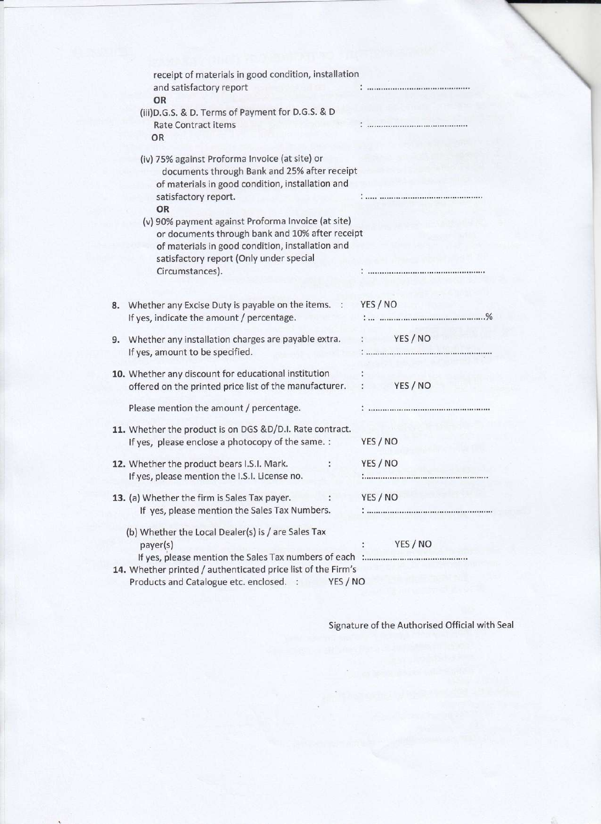| receipt of materials in good condition, installation                                                                               |
|------------------------------------------------------------------------------------------------------------------------------------|
|                                                                                                                                    |
|                                                                                                                                    |
| documents through Bank and 25% after receipt                                                                                       |
| or documents through bank and 10% after receipt                                                                                    |
|                                                                                                                                    |
| YES / NO                                                                                                                           |
| YES / NO                                                                                                                           |
| YES / NO                                                                                                                           |
|                                                                                                                                    |
| YES / NO                                                                                                                           |
| YES / NO                                                                                                                           |
| YES / NO                                                                                                                           |
| YES / NO<br>If yes, please mention the Sales Tax numbers of each :<br>14. Whether printed / authenticated price list of the Firm's |
|                                                                                                                                    |

Signature of the Authorised Official with Seal